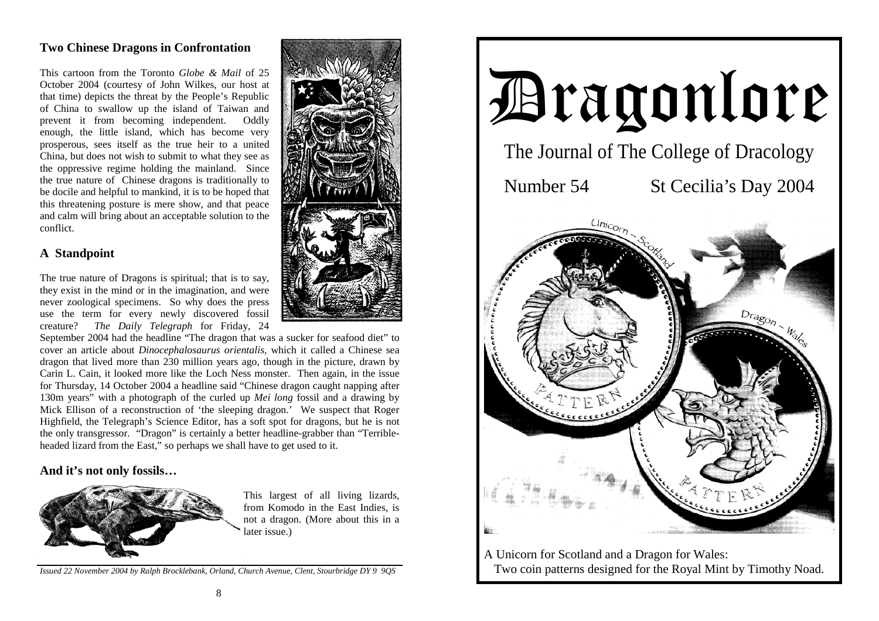# **Two Chinese Dragons in Confrontation**

This cartoon from the Toronto *Globe & Mail* of 25 October 2004 (courtesy of John Wilkes, our host at that time) depicts the threat by the People's Republic of China to swallow up the island of Taiwan and prevent it from becoming independent. Oddly enough, the little island, which has become very prosperous, sees itself as the true heir to a united China, but does not wish to submit to what they see as the oppressive regime holding the mainland. Since the true nature of Chinese dragons is traditionally to be docile and helpful to mankind, it is to be hoped that this threatening posture is mere show, and that peace and calm will bring about an acceptable solution to the conflict.

#### **A Standpoint**

The true nature of Dragons is spiritual; that is to say, they exist in the mind or in the imagination, and were never zoological specimens. So why does the press use the term for every newly discovered fossil creature? *The Daily Telegraph* for Friday, 24

September 2004 had the headline "The dragon that was a sucker for seafood diet" to cover an article about *Dinocephalosaurus orientalis,* which it called a Chinese sea dragon that lived more than 230 million years ago, though in the picture, drawn by Carin L. Cain, it looked more like the Loch Ness monster. Then again, in the issue for Thursday, 14 October 2004 a headline said "Chinese dragon caught napping after 130m years" with a photograph of the curled up *Mei long* fossil and a drawing by Mick Ellison of a reconstruction of 'the sleeping dragon.' We suspect that Roger Highfield, the Telegraph's Science Editor, has a soft spot for dragons, but he is not the only transgressor. "Dragon" is certainly a better headline-grabber than "Terribleheaded lizard from the East," so perhaps we shall have to get used to it.

### **And it's not only fossils…**



This largest of all living lizards, from Komodo in the East Indies, is not a dragon. (More about this in a later issue.)

*Issued 22 November 2004 by Ralph Brocklebank, Orland, Church Avenue, Clent, Stourbridge DY 9 9QS*



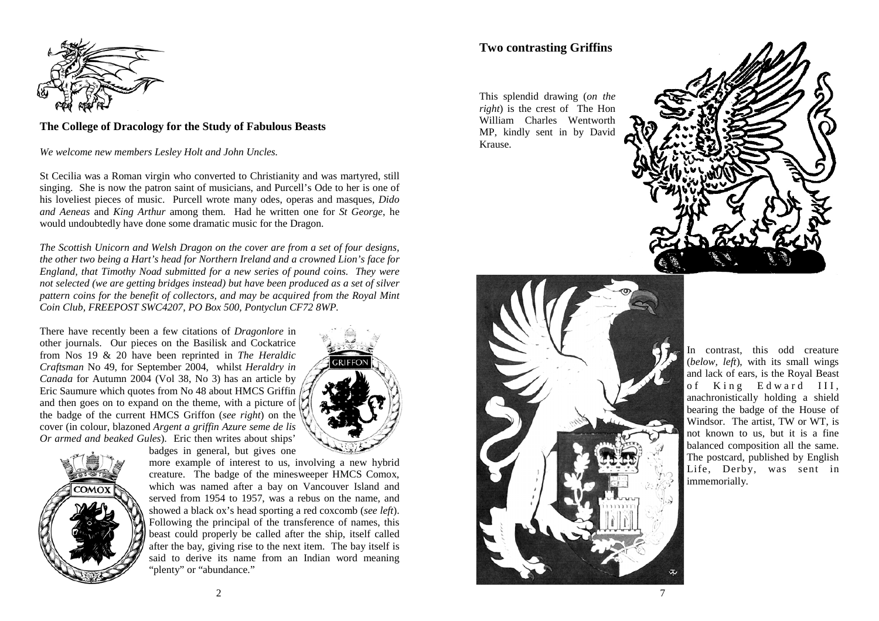

#### **The College of Dracology for the Study of Fabulous Beasts**

*We welcome new members Lesley Holt and John Uncles.* 

St Cecilia was a Roman virgin who converted to Christianity and was martyred, still singing. She is now the patron saint of musicians, and Purcell's Ode to her is one of his loveliest pieces of music. Purcell wrote many odes, operas and masques, *Dido and Aeneas* and *King Arthur* among them. Had he written one for *St George*, he would undoubtedly have done some dramatic music for the Dragon.

*The Scottish Unicorn and Welsh Dragon on the cover are from a set of four designs, the other two being a Hart's head for Northern Ireland and a crowned Lion's face for England, that Timothy Noad submitted for a new series of pound coins. They were not selected (we are getting bridges instead) but have been produced as a set of silver pattern coins for the benefit of collectors, and may be acquired from the Royal Mint Coin Club, FREEPOST SWC4207, PO Box 500, Pontyclun CF72 8WP.* 

There have recently been a few citations of *Dragonlore* in other journals. Our pieces on the Basilisk and Cockatrice from Nos 19 & 20 have been reprinted in *The Heraldic Craftsman* No 49, for September 2004, whilst *Heraldry in Canada* for Autumn 2004 (Vol 38, No 3) has an article by Eric Saumure which quotes from No 48 about HMCS Griffin and then goes on to expand on the theme, with a picture of the badge of the current HMCS Griffon (*see right*) on the cover (in colour, blazoned *Argent a griffin Azure seme de lis Or armed and beaked Gules*). Eric then writes about ships'



badges in general, but gives one more example of interest to us, involving a new hybrid

creature. The badge of the minesweeper HMCS Comox, which was named after a bay on Vancouver Island and served from 1954 to 1957, was a rebus on the name, and showed a black ox's head sporting a red coxcomb (*see left*). Following the principal of the transference of names, this beast could properly be called after the ship, itself called after the bay, giving rise to the next item. The bay itself is said to derive its name from an Indian word meaning "plenty" or "abundance."

# **Two contrasting Griffins**

This splendid drawing (*on the right*) is the crest of The Hon William Charles Wentworth MP, kindly sent in by David Krause.





In contrast, this odd creature (*below, left*), with its small wings and lack of ears, is the Royal Beast of King Edward III, anachronistically holding a shield bearing the badge of the House of Windsor. The artist, TW or WT, is not known to us, but it is a fine balanced composition all the same. The postcard, published by English Life, Derby, was sent in immemorially.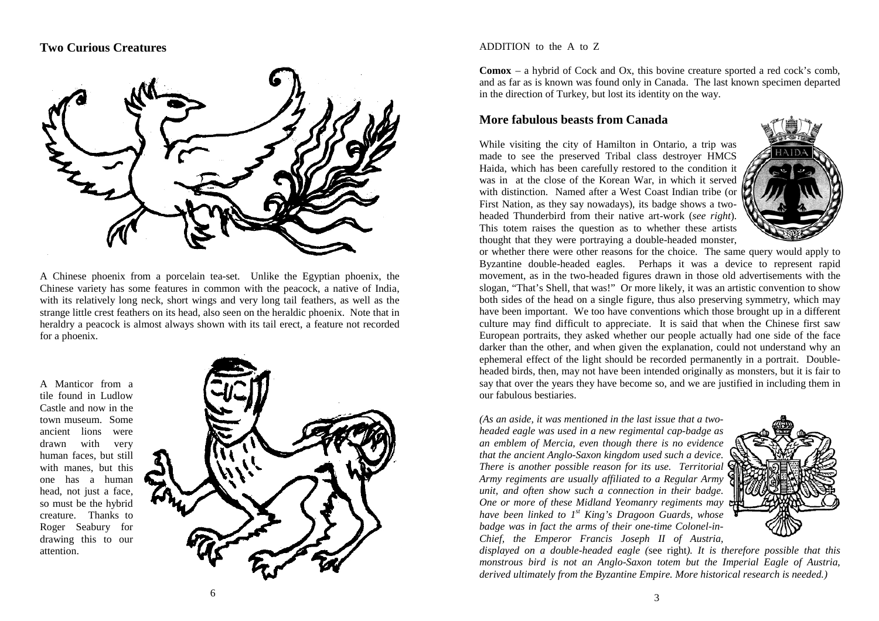## **Two Curious Creatures**



A Chinese phoenix from a porcelain tea-set. Unlike the Egyptian phoenix, the Chinese variety has some features in common with the peacock, a native of India, with its relatively long neck, short wings and very long tail feathers, as well as the strange little crest feathers on its head, also seen on the heraldic phoenix. Note that in heraldry a peacock is almost always shown with its tail erect, a feature not recorded for a phoenix.

A Manticor from a tile found in Ludlow Castle and now in the town museum. Some ancient lions were drawn with very human faces, but still with manes, but this one has a human head, not just a face, so must be the hybrid creature. Thanks to Roger Seabury for drawing this to our attention.



ADDITION to the A to Z

**Comox** – a hybrid of Cock and Ox, this bovine creature sported a red cock's comb, and as far as is known was found only in Canada. The last known specimen departed in the direction of Turkey, but lost its identity on the way.

#### **More fabulous beasts from Canada**

While visiting the city of Hamilton in Ontario, a trip was made to see the preserved Tribal class destroyer HMCS Haida, which has been carefully restored to the condition it was in at the close of the Korean War, in which it served with distinction. Named after a West Coast Indian tribe (or First Nation, as they say nowadays), its badge shows a twoheaded Thunderbird from their native art-work (*see right*). This totem raises the question as to whether these artists thought that they were portraying a double-headed monster,



or whether there were other reasons for the choice. The same query would apply to Byzantine double-headed eagles. Perhaps it was a device to represent rapid movement, as in the two-headed figures drawn in those old advertisements with the slogan, "That's Shell, that was!" Or more likely, it was an artistic convention to show both sides of the head on a single figure, thus also preserving symmetry, which may have been important. We too have conventions which those brought up in a different culture may find difficult to appreciate. It is said that when the Chinese first saw European portraits, they asked whether our people actually had one side of the face darker than the other, and when given the explanation, could not understand why an ephemeral effect of the light should be recorded permanently in a portrait. Doubleheaded birds, then, may not have been intended originally as monsters, but it is fair to say that over the years they have become so, and we are justified in including them in our fabulous bestiaries.

*(As an aside, it was mentioned in the last issue that a twoheaded eagle was used in a new regimental cap-badge as an emblem of Mercia, even though there is no evidence that the ancient Anglo-Saxon kingdom used such a device. There is another possible reason for its use. Territorial Army regiments are usually affiliated to a Regular Army unit, and often show such a connection in their badge. One or more of these Midland Yeomanry regiments may have been linked to 1st King's Dragoon Guards, whose badge was in fact the arms of their one-time Colonel-in-Chief, the Emperor Francis Joseph II of Austria,* 



*displayed on a double-headed eagle (*see right*). It is therefore possible that this monstrous bird is not an Anglo-Saxon totem but the Imperial Eagle of Austria, derived ultimately from the Byzantine Empire. More historical research is needed.)*